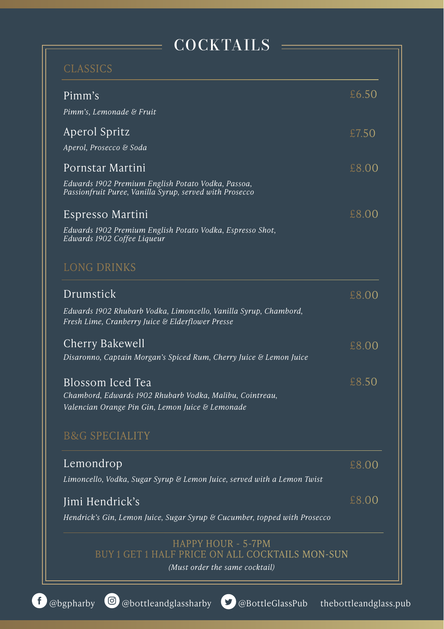## COCKTAILS

| Pimm's                                                                                                               | £6.50 |
|----------------------------------------------------------------------------------------------------------------------|-------|
| Pimm's, Lemonade & Fruit                                                                                             |       |
| Aperol Spritz                                                                                                        | £7.50 |
| Aperol, Prosecco & Soda                                                                                              |       |
| Pornstar Martini                                                                                                     | £8.00 |
| Edwards 1902 Premium English Potato Vodka, Passoa,<br>Passionfruit Puree, Vanilla Syrup, served with Prosecco        |       |
| Espresso Martini                                                                                                     | £8.00 |
| Edwards 1902 Premium English Potato Vodka, Espresso Shot,<br>Edwards 1902 Coffee Liqueur                             |       |
| <b>LONG DRINKS</b>                                                                                                   |       |
| Drumstick                                                                                                            | £8.00 |
| Edwards 1902 Rhubarb Vodka, Limoncello, Vanilla Syrup, Chambord,<br>Fresh Lime, Cranberry Juice & Elderflower Presse |       |
| Cherry Bakewell                                                                                                      | £8.00 |
| Disaronno, Captain Morgan's Spiced Rum, Cherry Juice & Lemon Juice                                                   |       |
| Blossom Iced Tea                                                                                                     | £8.50 |
| Chambord, Edwards 1902 Rhubarb Vodka, Malibu, Cointreau,<br>Valencian Orange Pin Gin, Lemon Juice & Lemonade         |       |
| <b>B&amp;G SPECIALITY</b>                                                                                            |       |
| Lemondrop                                                                                                            | £8.00 |
| Limoncello, Vodka, Sugar Syrup & Lemon Juice, served with a Lemon Twist                                              |       |
| Jimi Hendrick's                                                                                                      | £8.00 |
| Hendrick's Gin, Lemon Juice, Sugar Syrup & Cucumber, topped with Prosecco                                            |       |

ALL COCKTAILS MON-SUN

*(Must order the same cocktail)*

 $\Omega$ 

 $\overline{0}$ 

 $\overline{0}$ 

 $\overline{0}$ 

 $\overline{O}$ 

 $\overline{\Omega}$ 

 $\overline{0}$ 

 $\overline{O}$